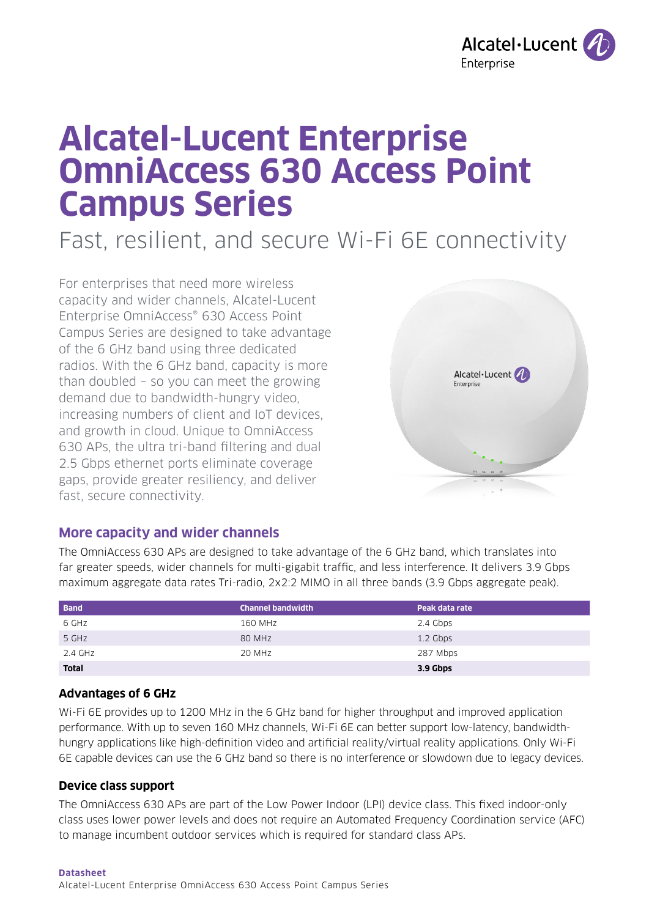

# **Alcatel-Lucent Enterprise OmniAccess 630 Access Point Campus Series**

Fast, resilient, and secure Wi-Fi 6E connectivity

For enterprises that need more wireless capacity and wider channels, Alcatel-Lucent Enterprise OmniAccess® 630 Access Point Campus Series are designed to take advantage of the 6 GHz band using three dedicated radios. With the 6 GHz band, capacity is more than doubled – so you can meet the growing demand due to bandwidth-hungry video, increasing numbers of client and IoT devices, and growth in cloud. Unique to OmniAccess 630 APs, the ultra tri-band filtering and dual 2.5 Gbps ethernet ports eliminate coverage gaps, provide greater resiliency, and deliver fast, secure connectivity.



## **More capacity and wider channels**

The OmniAccess 630 APs are designed to take advantage of the 6 GHz band, which translates into far greater speeds, wider channels for multi-gigabit traffic, and less interference. It delivers 3.9 Gbps maximum aggregate data rates Tri-radio, 2x2:2 MIMO in all three bands (3.9 Gbps aggregate peak).

| <b>Band</b>  | <b>Channel bandwidth</b> | Peak data rate |
|--------------|--------------------------|----------------|
| 6 GHz        | 160 MHz                  | 2.4 Gbps       |
| 5 GHz        | 80 MHz                   | 1.2 Gbps       |
| 2.4 GHz      | 20 MHz                   | 287 Mbps       |
| <b>Total</b> |                          | 3.9 Gbps       |

#### **Advantages of 6 GHz**

Wi-Fi 6E provides up to 1200 MHz in the 6 GHz band for higher throughput and improved application performance. With up to seven 160 MHz channels, Wi-Fi 6E can better support low-latency, bandwidthhungry applications like high-definition video and artificial reality/virtual reality applications. Only Wi-Fi 6E capable devices can use the 6 GHz band so there is no interference or slowdown due to legacy devices.

#### **Device class support**

The OmniAccess 630 APs are part of the Low Power Indoor (LPI) device class. This fixed indoor-only class uses lower power levels and does not require an Automated Frequency Coordination service (AFC) to manage incumbent outdoor services which is required for standard class APs.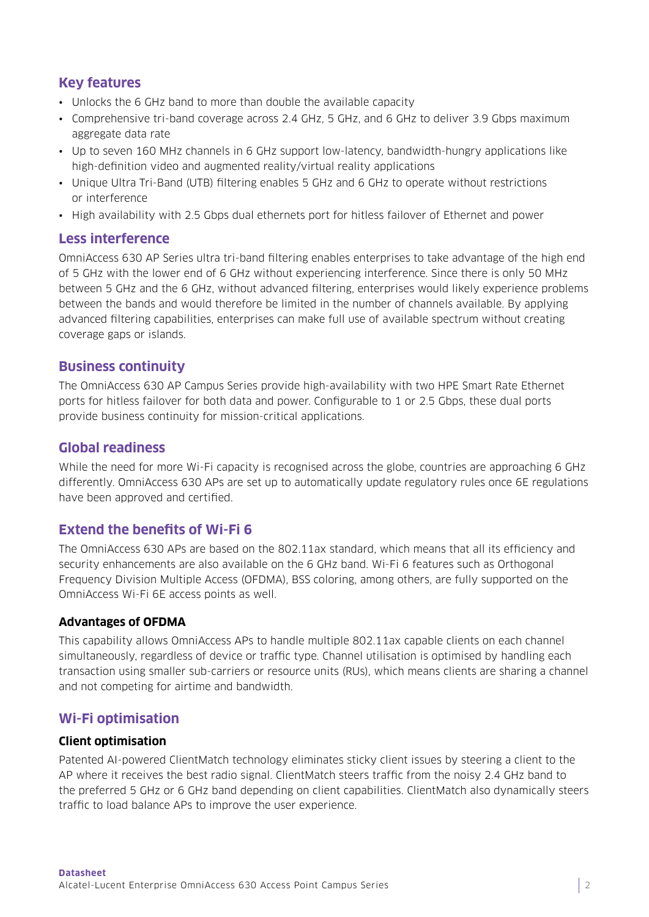## **Key features**

- Unlocks the 6 GHz band to more than double the available capacity
- Comprehensive tri-band coverage across 2.4 GHz, 5 GHz, and 6 GHz to deliver 3.9 Gbps maximum aggregate data rate
- Up to seven 160 MHz channels in 6 GHz support low-latency, bandwidth-hungry applications like high-definition video and augmented reality/virtual reality applications
- Unique Ultra Tri-Band (UTB) filtering enables 5 GHz and 6 GHz to operate without restrictions or interference
- High availability with 2.5 Gbps dual ethernets port for hitless failover of Ethernet and power

## **Less interference**

OmniAccess 630 AP Series ultra tri-band filtering enables enterprises to take advantage of the high end of 5 GHz with the lower end of 6 GHz without experiencing interference. Since there is only 50 MHz between 5 GHz and the 6 GHz, without advanced filtering, enterprises would likely experience problems between the bands and would therefore be limited in the number of channels available. By applying advanced filtering capabilities, enterprises can make full use of available spectrum without creating coverage gaps or islands.

## **Business continuity**

The OmniAccess 630 AP Campus Series provide high-availability with two HPE Smart Rate Ethernet ports for hitless failover for both data and power. Configurable to 1 or 2.5 Gbps, these dual ports provide business continuity for mission-critical applications.

## **Global readiness**

While the need for more Wi-Fi capacity is recognised across the globe, countries are approaching 6 GHz differently. OmniAccess 630 APs are set up to automatically update regulatory rules once 6E regulations have been approved and certified.

## **Extend the benefits of Wi-Fi 6**

The OmniAccess 630 APs are based on the 802.11ax standard, which means that all its efficiency and security enhancements are also available on the 6 GHz band. Wi-Fi 6 features such as Orthogonal Frequency Division Multiple Access (OFDMA), BSS coloring, among others, are fully supported on the OmniAccess Wi-Fi 6E access points as well.

## **Advantages of OFDMA**

This capability allows OmniAccess APs to handle multiple 802.11ax capable clients on each channel simultaneously, regardless of device or traffic type. Channel utilisation is optimised by handling each transaction using smaller sub-carriers or resource units (RUs), which means clients are sharing a channel and not competing for airtime and bandwidth.

## **Wi-Fi optimisation**

#### **Client optimisation**

Patented AI-powered ClientMatch technology eliminates sticky client issues by steering a client to the AP where it receives the best radio signal. ClientMatch steers traffic from the noisy 2.4 GHz band to the preferred 5 GHz or 6 GHz band depending on client capabilities. ClientMatch also dynamically steers traffic to load balance APs to improve the user experience.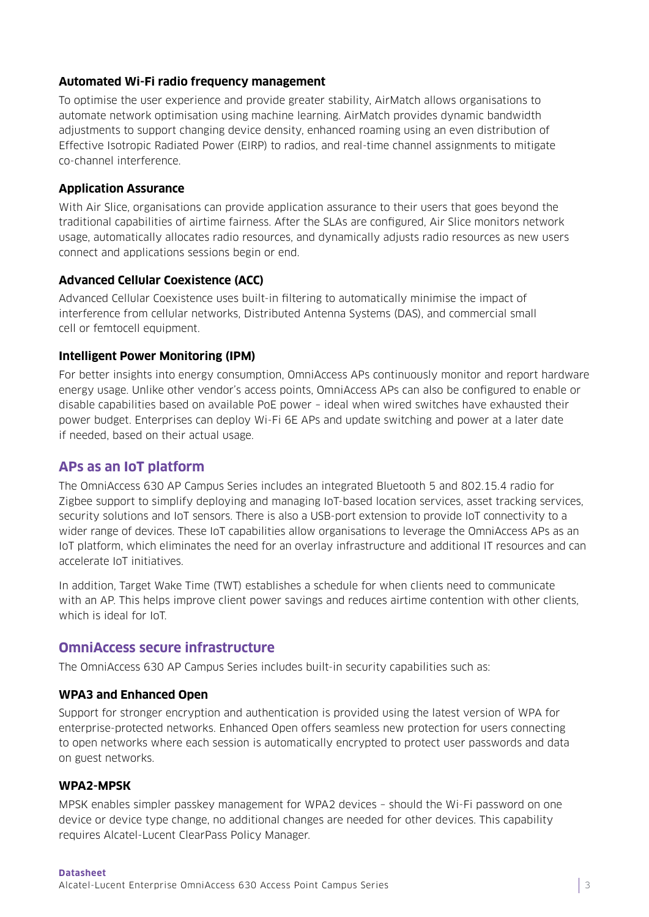### **Automated Wi-Fi radio frequency management**

To optimise the user experience and provide greater stability, AirMatch allows organisations to automate network optimisation using machine learning. AirMatch provides dynamic bandwidth adjustments to support changing device density, enhanced roaming using an even distribution of Effective Isotropic Radiated Power (EIRP) to radios, and real-time channel assignments to mitigate co-channel interference.

#### **Application Assurance**

With Air Slice, organisations can provide application assurance to their users that goes beyond the traditional capabilities of airtime fairness. After the SLAs are configured, Air Slice monitors network usage, automatically allocates radio resources, and dynamically adjusts radio resources as new users connect and applications sessions begin or end.

## **Advanced Cellular Coexistence (ACC)**

Advanced Cellular Coexistence uses built-in filtering to automatically minimise the impact of interference from cellular networks, Distributed Antenna Systems (DAS), and commercial small cell or femtocell equipment.

#### **Intelligent Power Monitoring (IPM)**

For better insights into energy consumption, OmniAccess APs continuously monitor and report hardware energy usage. Unlike other vendor's access points, OmniAccess APs can also be configured to enable or disable capabilities based on available PoE power – ideal when wired switches have exhausted their power budget. Enterprises can deploy Wi-Fi 6E APs and update switching and power at a later date if needed, based on their actual usage.

## **APs as an IoT platform**

The OmniAccess 630 AP Campus Series includes an integrated Bluetooth 5 and 802.15.4 radio for Zigbee support to simplify deploying and managing IoT-based location services, asset tracking services, security solutions and IoT sensors. There is also a USB-port extension to provide IoT connectivity to a wider range of devices. These IoT capabilities allow organisations to leverage the OmniAccess APs as an IoT platform, which eliminates the need for an overlay infrastructure and additional IT resources and can accelerate IoT initiatives.

In addition, Target Wake Time (TWT) establishes a schedule for when clients need to communicate with an AP. This helps improve client power savings and reduces airtime contention with other clients, which is ideal for IoT.

## **OmniAccess secure infrastructure**

The OmniAccess 630 AP Campus Series includes built-in security capabilities such as:

#### **WPA3 and Enhanced Open**

Support for stronger encryption and authentication is provided using the latest version of WPA for enterprise-protected networks. Enhanced Open offers seamless new protection for users connecting to open networks where each session is automatically encrypted to protect user passwords and data on guest networks.

#### **WPA2-MPSK**

MPSK enables simpler passkey management for WPA2 devices – should the Wi-Fi password on one device or device type change, no additional changes are needed for other devices. This capability requires Alcatel-Lucent ClearPass Policy Manager.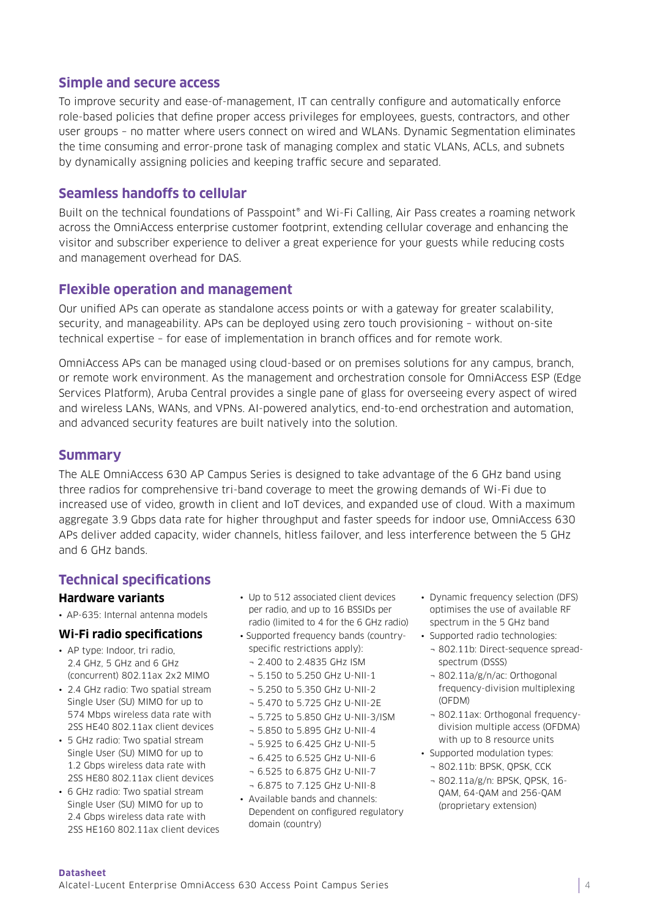## **Simple and secure access**

To improve security and ease-of-management, IT can centrally configure and automatically enforce role-based policies that define proper access privileges for employees, guests, contractors, and other user groups – no matter where users connect on wired and WLANs. Dynamic Segmentation eliminates the time consuming and error-prone task of managing complex and static VLANs, ACLs, and subnets by dynamically assigning policies and keeping traffic secure and separated.

## **Seamless handoffs to cellular**

Built on the technical foundations of Passpoint® and Wi-Fi Calling, Air Pass creates a roaming network across the OmniAccess enterprise customer footprint, extending cellular coverage and enhancing the visitor and subscriber experience to deliver a great experience for your guests while reducing costs and management overhead for DAS.

## **Flexible operation and management**

Our unified APs can operate as standalone access points or with a gateway for greater scalability, security, and manageability. APs can be deployed using zero touch provisioning – without on-site technical expertise – for ease of implementation in branch offices and for remote work.

OmniAccess APs can be managed using cloud-based or on premises solutions for any campus, branch, or remote work environment. As the management and orchestration console for OmniAccess ESP (Edge Services Platform), Aruba Central provides a single pane of glass for overseeing every aspect of wired and wireless LANs, WANs, and VPNs. AI-powered analytics, end-to-end orchestration and automation, and advanced security features are built natively into the solution.

## **Summary**

The ALE OmniAccess 630 AP Campus Series is designed to take advantage of the 6 GHz band using three radios for comprehensive tri-band coverage to meet the growing demands of Wi-Fi due to increased use of video, growth in client and IoT devices, and expanded use of cloud. With a maximum aggregate 3.9 Gbps data rate for higher throughput and faster speeds for indoor use, OmniAccess 630 APs deliver added capacity, wider channels, hitless failover, and less interference between the 5 GHz and 6 GHz bands.

## **Technical specifications**

#### **Hardware variants**

• AP-635: Internal antenna models

#### **Wi-Fi radio specifications**

- AP type: Indoor, tri radio, 2.4 GHz, 5 GHz and 6 GHz (concurrent) 802.11ax 2x2 MIMO
- 2.4 GHz radio: Two spatial stream Single User (SU) MIMO for up to 574 Mbps wireless data rate with 2SS HE40 802.11ax client devices
- 5 GHz radio: Two spatial stream Single User (SU) MIMO for up to 1.2 Gbps wireless data rate with 2SS HE80 802.11ax client devices
- 6 GHz radio: Two spatial stream Single User (SU) MIMO for up to 2.4 Gbps wireless data rate with 2SS HE160 802.11ax client devices
- Un to 512 associated client devices per radio, and up to 16 BSSIDs per radio (limited to 4 for the 6 GHz radio)
- Supported frequency bands (countryspecific restrictions apply):
- ¬ 2.400 to 2.4835 GHz ISM
- ¬ 5.150 to 5.250 GHz U-NII-1
- ¬ 5.250 to 5.350 GHz U-NII-2
- ¬ 5.470 to 5.725 GHz U-NII-2E
- ¬ 5.725 to 5.850 GHz U-NII-3/ISM
- ¬ 5.850 to 5.895 GHz U-NII-4
- ¬ 5.925 to 6.425 GHz U-NII-5
- ¬ 6.425 to 6.525 GHz U-NII-6
- ¬ 6.525 to 6.875 GHz U-NII-7
- ¬ 6.875 to 7.125 GHz U-NII-8
- Available bands and channels: Dependent on configured regulatory domain (country)
- Dynamic frequency selection (DFS) optimises the use of available RF spectrum in the 5 GHz band
- Supported radio technologies: ¬ 802.11b: Direct-sequence spreadspectrum (DSSS)
	- ¬ 802.11a/g/n/ac: Orthogonal frequency-division multiplexing (OFDM)
	- ¬ 802.11ax: Orthogonal frequencydivision multiple access (OFDMA) with up to 8 resource units
- Supported modulation types:
	- ¬ 802.11b: BPSK, QPSK, CCK
	- ¬ 802.11a/g/n: BPSK, QPSK, 16- QAM, 64-QAM and 256-QAM (proprietary extension)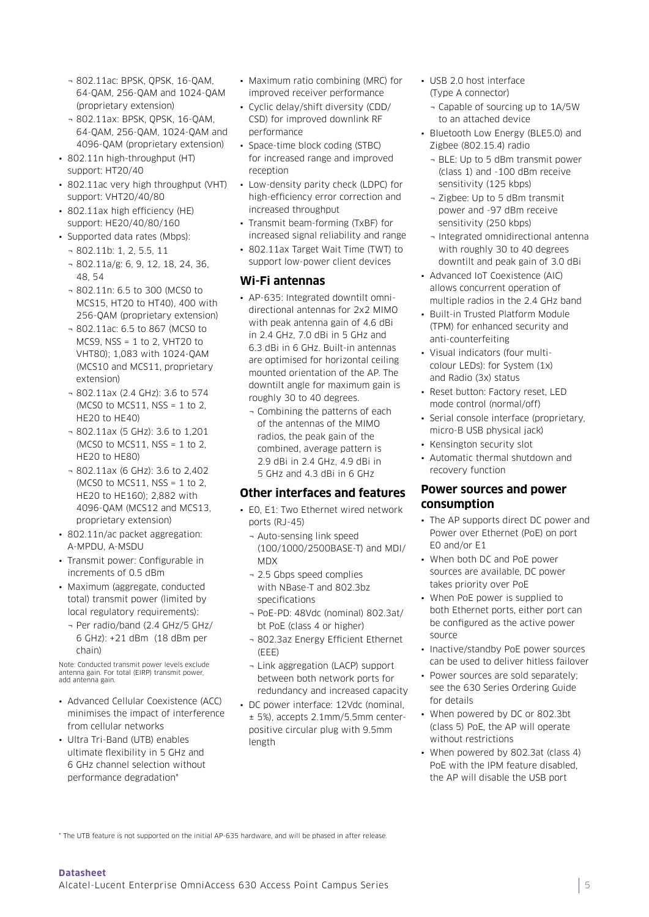- ¬ 802.11ac: BPSK, QPSK, 16-QAM, 64-QAM, 256-QAM and 1024-QAM (proprietary extension)
- ¬ 802.11ax: BPSK, QPSK, 16-QAM, 64-QAM, 256-QAM, 1024-QAM and 4096-QAM (proprietary extension)
- 802.11n high-throughput (HT) support: HT20/40
- 802.11ac very high throughput (VHT) support: VHT20/40/80
- 802.11ax high efficiency (HE) support: HE20/40/80/160
- Supported data rates (Mbps):
	- ¬ 802.11b: 1, 2, 5.5, 11
	- ¬ 802.11a/g: 6, 9, 12, 18, 24, 36, 48, 54
	- ¬ 802.11n: 6.5 to 300 (MCS0 to MCS15, HT20 to HT40), 400 with 256-QAM (proprietary extension)
	- ¬ 802.11ac: 6.5 to 867 (MCS0 to MCS9, NSS = 1 to 2, VHT20 to VHT80); 1,083 with 1024-QAM (MCS10 and MCS11, proprietary extension)
	- ¬ 802.11ax (2.4 GHz): 3.6 to 574 (MCS0 to MCS11, NSS = 1 to 2, HE20 to HE40)
	- ¬ 802.11ax (5 GHz): 3.6 to 1,201 (MCS0 to MCS11, NSS =  $1$  to  $2$ , HE20 to HE80)
	- ¬ 802.11ax (6 GHz): 3.6 to 2,402 (MCS0 to MCS11, NSS = 1 to 2, HE20 to HE160); 2,882 with 4096-QAM (MCS12 and MCS13, proprietary extension)
- 802.11n/ac packet aggregation: A-MPDU, A-MSDU
- Transmit power: Configurable in increments of 0.5 dBm
- Maximum (aggregate, conducted total) transmit power (limited by local regulatory requirements):
	- ¬ Per radio/band (2.4 GHz/5 GHz/ 6 GHz): +21 dBm (18 dBm per chain)

Note: Conducted transmit power levels exclude antenna gain. For total (EIRP) transmit power, add antenna gain.

- Advanced Cellular Coexistence (ACC) minimises the impact of interference from cellular networks
- Ultra Tri-Band (UTB) enables ultimate flexibility in 5 GHz and 6 GHz channel selection without performance degradation\*
- Maximum ratio combining (MRC) for improved receiver performance
- Cyclic delay/shift diversity (CDD/ CSD) for improved downlink RF performance
- Space-time block coding (STBC) for increased range and improved reception
- Low-density parity check (LDPC) for high-efficiency error correction and increased throughput
- Transmit beam-forming (TxBF) for increased signal reliability and range
- 802.11ax Target Wait Time (TWT) to support low-power client devices

#### **Wi-Fi antennas**

- AP-635: Integrated downtilt omnidirectional antennas for 2x2 MIMO with peak antenna gain of 4.6 dBi in 2.4 GHz, 7.0 dBi in 5 GHz and 6.3 dBi in 6 GHz. Built-in antennas are optimised for horizontal ceiling mounted orientation of the AP. The downtilt angle for maximum gain is roughly 30 to 40 degrees.
	- ¬ Combining the patterns of each of the antennas of the MIMO radios, the peak gain of the combined, average pattern is 2.9 dBi in 2.4 GHz, 4.9 dBi in 5 GHz and 4.3 dBi in 6 GHz

#### **Other interfaces and features**

- E0, E1: Two Ethernet wired network ports (RJ-45)
	- ¬ Auto-sensing link speed (100/1000/2500BASE-T) and MDI/ MDX
	- ¬ 2.5 Gbps speed complies with NBase-T and 802.3bz specifications
	- ¬ PoE-PD: 48Vdc (nominal) 802.3at/ bt PoE (class 4 or higher)
	- ¬ 802.3az Energy Efficient Ethernet  $(FFF)$
	- ¬ Link aggregation (LACP) support between both network ports for redundancy and increased capacity
- DC power interface: 12Vdc (nominal, ± 5%), accepts 2.1mm/5.5mm centerpositive circular plug with 9.5mm length
- USB 2.0 host interface (Type A connector)
	- ¬ Capable of sourcing up to 1A/5W to an attached device
- Bluetooth Low Energy (BLE5.0) and Zigbee (802.15.4) radio
	- ¬ BLE: Up to 5 dBm transmit power (class 1) and -100 dBm receive sensitivity (125 kbps)
	- ¬ Zigbee: Up to 5 dBm transmit power and -97 dBm receive sensitivity (250 kbps)
	- ¬ Integrated omnidirectional antenna with roughly 30 to 40 degrees downtilt and peak gain of 3.0 dBi
- Advanced IoT Coexistence (AIC) allows concurrent operation of multiple radios in the 2.4 GHz band
- Built-in Trusted Platform Module (TPM) for enhanced security and anti-counterfeiting
- Visual indicators (four multicolour LEDs): for System (1x) and Radio (3x) status
- Reset button: Factory reset, LED mode control (normal/off)
- Serial console interface (proprietary, micro-B USB physical jack)
- Kensington security slot
- Automatic thermal shutdown and recovery function

#### **Power sources and power consumption**

- The AP supports direct DC power and Power over Ethernet (PoE) on port E0 and/or E1
- When both DC and PoE power sources are available, DC power takes priority over PoE
- When PoE power is supplied to both Ethernet ports, either port can be configured as the active power source
- Inactive/standby PoE power sources can be used to deliver hitless failover
- Power sources are sold separately; see the 630 Series Ordering Guide for details
- When powered by DC or 802.3bt (class 5) PoE, the AP will operate without restrictions
- When powered by 802.3at (class 4) PoE with the IPM feature disabled, the AP will disable the USB port

\* The UTB feature is not supported on the initial AP-635 hardware, and will be phased in after release.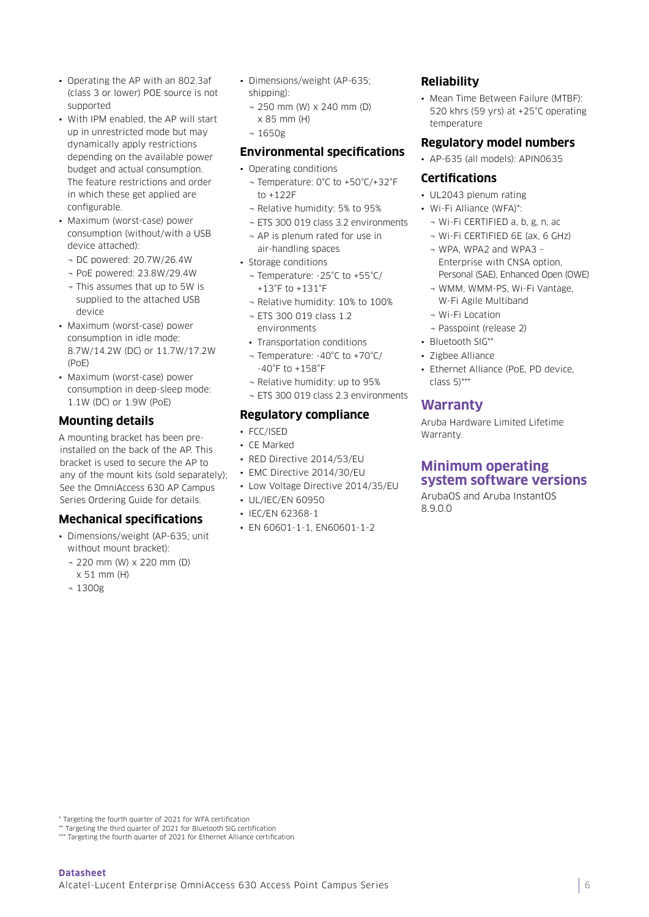- Operating the AP with an 802.3af (class 3 or lower) POE source is not supported
- With IPM enabled, the AP will start up in unrestricted mode but may dynamically apply restrictions depending on the available power budget and actual consumption. The feature restrictions and order in which these get applied are configurable.
- Maximum (worst-case) power consumption (without/with a USB device attached):
	- ¬ DC powered: 20.7W/26.4W
	- ¬ PoE powered: 23.8W/29.4W
	- ¬ This assumes that up to 5W is supplied to the attached USB device
- Maximum (worst-case) power consumption in idle mode: 8.7W/14.2W (DC) or 11.7W/17.2W (PoE)
- Maximum (worst-case) power consumption in deep-sleep mode: 1.1W (DC) or 1.9W (PoE)

#### **Mounting details**

A mounting bracket has been preinstalled on the back of the AP. This bracket is used to secure the AP to any of the mount kits (sold separately); See the OmniAccess 630 AP Campus Series Ordering Guide for details.

#### **Mechanical specifications**

- Dimensions/weight (AP-635; unit without mount bracket):
	- ¬ 220 mm (W) x 220 mm (D) x 51 mm (H)
	- ¬ 1300g
- Dimensions/weight (AP-635; shipping):
	- ¬ 250 mm (W) x 240 mm (D) x 85 mm (H)
	- ¬ 1650g

#### **Environmental specifications**

• Operating conditions

- ¬ Temperature: 0°C to +50°C/+32°F to +122F
- ¬ Relative humidity: 5% to 95%
- ¬ ETS 300 019 class 3.2 environments
- ¬ AP is plenum rated for use in air-handling spaces
- Storage conditions
	- ¬ Temperature: -25°C to +55°C/ +13°F to +131°F
	- ¬ Relative humidity: 10% to 100%
- ¬ ETS 300 019 class 1.2 environments
- Transportation conditions
- ¬ Temperature: -40°C to +70°C/ -40°F to +158°F
- ¬ Relative humidity: up to 95% ¬ ETS 300 019 class 2.3 environments

### **Regulatory compliance**

- FCC/ISED
- CE Marked
- RED Directive 2014/53/EU
- EMC Directive 2014/30/EU
- Low Voltage Directive 2014/35/EU
- UL/IEC/EN 60950
- IEC/EN 62368-1
- EN 60601-1-1, EN60601-1-2

## **Reliability**

• Mean Time Between Failure (MTBF): 520 khrs (59 yrs) at +25°C operating temperature

#### **Regulatory model numbers**

• AP-635 (all models): APIN0635

#### **Certifications**

- UL2043 plenum rating
- Wi-Fi Alliance (WFA)\*:
	- ¬ Wi-Fi CERTIFIED a, b, g, n, ac
	- ¬ Wi-Fi CERTIFIED 6E (ax, 6 GHz)
	- ¬ WPA, WPA2 and WPA3 Enterprise with CNSA option, Personal (SAE), Enhanced Open (OWE)
	- ¬ WMM, WMM-PS, Wi-Fi Vantage, W-Fi Agile Multiband
	- ¬ Wi-Fi Location
	- ¬ Passpoint (release 2)
- Bluetooth SIG\*\*
- Zigbee Alliance
- Ethernet Alliance (PoE, PD device, class  $5$ )\*\*\*

## **Warranty**

Aruba Hardware Limited Lifetime Warranty.

## **Minimum operating system software versions**

ArubaOS and Aruba InstantOS 8.9.0.0

Targeting the fourth quarter of 2021 for WFA certification

\*\* Targeting the third quarter of 2021 for Bluetooth SIG certification \*\*\* Targeting the fourth quarter of 2021 for Ethernet Alliance certification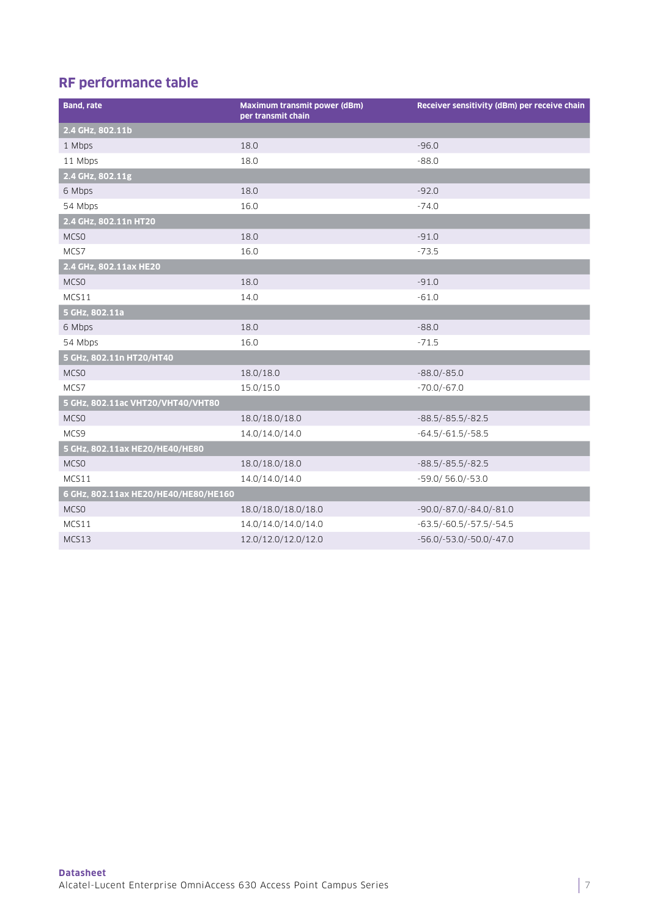# **RF performance table**

| <b>Band, rate</b>                    | Maximum transmit power (dBm)<br>per transmit chain | Receiver sensitivity (dBm) per receive chain |
|--------------------------------------|----------------------------------------------------|----------------------------------------------|
| 2.4 GHz, 802.11b                     |                                                    |                                              |
| 1 Mbps                               | 18.0                                               | $-96.0$                                      |
| 11 Mbps                              | 18.0                                               | $-88.0$                                      |
| 2.4 GHz, 802.11g                     |                                                    |                                              |
| 6 Mbps                               | 18.0                                               | $-92.0$                                      |
| 54 Mbps                              | 16.0                                               | $-74.0$                                      |
| 2.4 GHz, 802.11n HT20                |                                                    |                                              |
| MCS <sub>0</sub>                     | 18.0                                               | $-91.0$                                      |
| MCS7                                 | 16.0                                               | $-73.5$                                      |
| 2.4 GHz, 802.11ax HE20               |                                                    |                                              |
| MCS <sub>0</sub>                     | 18.0                                               | $-91.0$                                      |
| MCS11                                | 14.0                                               | $-61.0$                                      |
| 5 GHz, 802.11a                       |                                                    |                                              |
| 6 Mbps                               | 18.0                                               | $-88.0$                                      |
| 54 Mbps                              | 16.0                                               | $-71.5$                                      |
| 5 GHz, 802.11n HT20/HT40             |                                                    |                                              |
| MCS <sub>0</sub>                     | 18.0/18.0                                          | $-88.0/-85.0$                                |
| MCS7                                 | 15.0/15.0                                          | $-70.0/-67.0$                                |
| 5 GHz, 802.11ac VHT20/VHT40/VHT80    |                                                    |                                              |
| MCSO                                 | 18.0/18.0/18.0                                     | $-88.5/-85.5/-82.5$                          |
| MCS9                                 | 14.0/14.0/14.0                                     | $-64.5/-61.5/-58.5$                          |
| 5 GHz, 802.11ax HE20/HE40/HE80       |                                                    |                                              |
| MCS <sub>0</sub>                     | 18.0/18.0/18.0                                     | $-88.5/-85.5/-82.5$                          |
| MCS11                                | 14.0/14.0/14.0                                     | $-59.0/56.0/-53.0$                           |
| 6 GHz, 802.11ax HE20/HE40/HE80/HE160 |                                                    |                                              |
| MCSO                                 | 18.0/18.0/18.0/18.0                                | $-90.0$ / $-87.0$ / $-84.0$ / $-81.0$        |
| MCS11                                | 14.0/14.0/14.0/14.0                                | $-63.5/-60.5/-57.5/-54.5$                    |
| MCS13                                | 12.0/12.0/12.0/12.0                                | $-56.0/-53.0/-50.0/-47.0$                    |